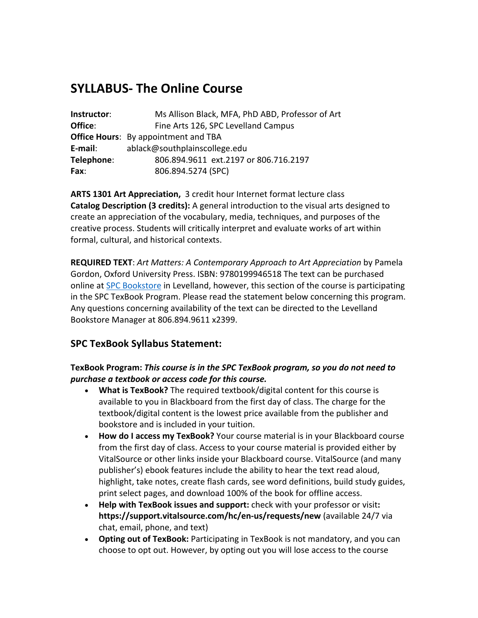# **SYLLABUS- The Online Course**

| Instructor: | Ms Allison Black, MFA, PhD ABD, Professor of Art |  |  |
|-------------|--------------------------------------------------|--|--|
| Office:     | Fine Arts 126, SPC Levelland Campus              |  |  |
|             | <b>Office Hours:</b> By appointment and TBA      |  |  |
| E-mail:     | ablack@southplainscollege.edu                    |  |  |
| Telephone:  | 806.894.9611 ext.2197 or 806.716.2197            |  |  |
| <b>Fax:</b> | 806.894.5274 (SPC)                               |  |  |

**ARTS 1301 Art Appreciation,** 3 credit hour Internet format lecture class **Catalog Description (3 credits):** A general introduction to the visual arts designed to create an appreciation of the vocabulary, media, techniques, and purposes of the creative process. Students will critically interpret and evaluate works of art within formal, cultural, and historical contexts.

**REQUIRED TEXT**: *Art Matters: A Contemporary Approach to Art Appreciation* by Pamela Gordon, Oxford University Press. ISBN: 9780199946518 The text can be purchased online at SPC Bookstore in Levelland, however, this section of the course is participating in the SPC TexBook Program. Please read the statement below concerning this program. Any questions concerning availability of the text can be directed to the Levelland Bookstore Manager at 806.894.9611 x2399.

## **SPC TexBook Syllabus Statement:**

### **TexBook Program:** *This course is in the SPC TexBook program, so you do not need to purchase a textbook or access code for this course.*

- **What is TexBook?** The required textbook/digital content for this course is available to you in Blackboard from the first day of class. The charge for the textbook/digital content is the lowest price available from the publisher and bookstore and is included in your tuition.
- **How do I access my TexBook?** Your course material is in your Blackboard course from the first day of class. Access to your course material is provided either by VitalSource or other links inside your Blackboard course. VitalSource (and many publisher's) ebook features include the ability to hear the text read aloud, highlight, take notes, create flash cards, see word definitions, build study guides, print select pages, and download 100% of the book for offline access.
- **Help with TexBook issues and support:** check with your professor or visit**: https://support.vitalsource.com/hc/en-us/requests/new** (available 24/7 via chat, email, phone, and text)
- **Opting out of TexBook:** Participating in TexBook is not mandatory, and you can choose to opt out. However, by opting out you will lose access to the course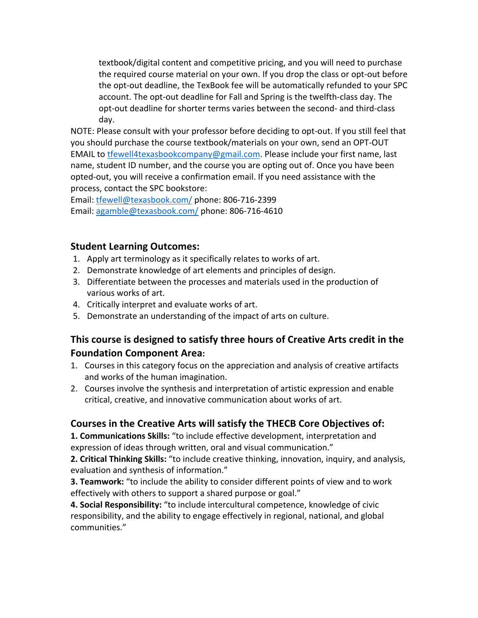textbook/digital content and competitive pricing, and you will need to purchase the required course material on your own. If you drop the class or opt-out before the opt-out deadline, the TexBook fee will be automatically refunded to your SPC account. The opt-out deadline for Fall and Spring is the twelfth-class day. The opt-out deadline for shorter terms varies between the second- and third-class day.

NOTE: Please consult with your professor before deciding to opt-out. If you still feel that you should purchase the course textbook/materials on your own, send an OPT-OUT EMAIL to tfewell4texasbookcompany@gmail.com. Please include your first name, last name, student ID number, and the course you are opting out of. Once you have been opted-out, you will receive a confirmation email. If you need assistance with the process, contact the SPC bookstore:

Email: tfewell@texasbook.com/ phone: 806-716-2399 Email: agamble@texasbook.com/ phone: 806-716-4610

## **Student Learning Outcomes:**

- 1. Apply art terminology as it specifically relates to works of art.
- 2. Demonstrate knowledge of art elements and principles of design.
- 3. Differentiate between the processes and materials used in the production of various works of art.
- 4. Critically interpret and evaluate works of art.
- 5. Demonstrate an understanding of the impact of arts on culture.

## **This course is designed to satisfy three hours of Creative Arts credit in the Foundation Component Area:**

- 1. Courses in this category focus on the appreciation and analysis of creative artifacts and works of the human imagination.
- 2. Courses involve the synthesis and interpretation of artistic expression and enable critical, creative, and innovative communication about works of art.

## **Courses in the Creative Arts will satisfy the THECB Core Objectives of:**

**1. Communications Skills:** "to include effective development, interpretation and expression of ideas through written, oral and visual communication."

**2. Critical Thinking Skills:** "to include creative thinking, innovation, inquiry, and analysis, evaluation and synthesis of information."

**3. Teamwork:** "to include the ability to consider different points of view and to work effectively with others to support a shared purpose or goal."

**4. Social Responsibility:** "to include intercultural competence, knowledge of civic responsibility, and the ability to engage effectively in regional, national, and global communities."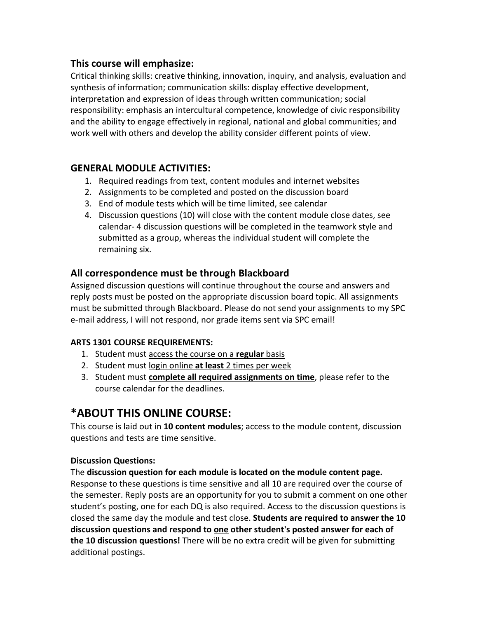## **This course will emphasize:**

Critical thinking skills: creative thinking, innovation, inquiry, and analysis, evaluation and synthesis of information; communication skills: display effective development, interpretation and expression of ideas through written communication; social responsibility: emphasis an intercultural competence, knowledge of civic responsibility and the ability to engage effectively in regional, national and global communities; and work well with others and develop the ability consider different points of view.

## **GENERAL MODULE ACTIVITIES:**

- 1. Required readings from text, content modules and internet websites
- 2. Assignments to be completed and posted on the discussion board
- 3. End of module tests which will be time limited, see calendar
- 4. Discussion questions (10) will close with the content module close dates, see calendar- 4 discussion questions will be completed in the teamwork style and submitted as a group, whereas the individual student will complete the remaining six.

## **All correspondence must be through Blackboard**

Assigned discussion questions will continue throughout the course and answers and reply posts must be posted on the appropriate discussion board topic. All assignments must be submitted through Blackboard. Please do not send your assignments to my SPC e-mail address, I will not respond, nor grade items sent via SPC email!

#### **ARTS 1301 COURSE REQUIREMENTS:**

- 1. Student must access the course on a **regular** basis
- 2. Student must login online **at least** 2 times per week
- 3. Student must **complete all required assignments on time**, please refer to the course calendar for the deadlines.

# **\*ABOUT THIS ONLINE COURSE:**

This course is laid out in **10 content modules**; access to the module content, discussion questions and tests are time sensitive.

#### **Discussion Questions:**

The **discussion question for each module is located on the module content page.** Response to these questions is time sensitive and all 10 are required over the course of the semester. Reply posts are an opportunity for you to submit a comment on one other student's posting, one for each DQ is also required. Access to the discussion questions is closed the same day the module and test close. **Students are required to answer the 10 discussion questions and respond to one other student's posted answer for each of the 10 discussion questions!** There will be no extra credit will be given for submitting additional postings.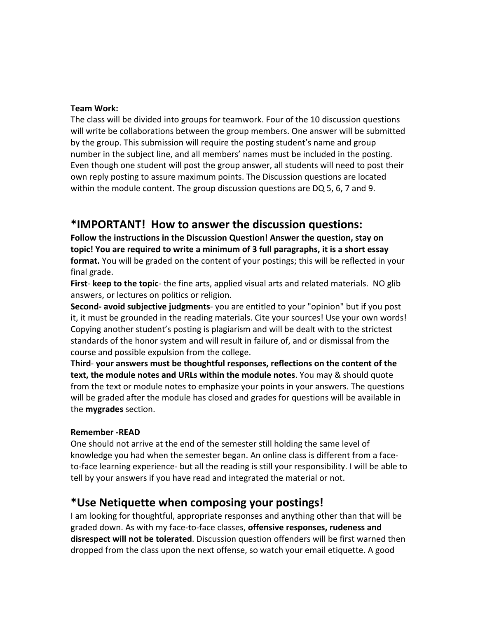#### **Team Work:**

The class will be divided into groups for teamwork. Four of the 10 discussion questions will write be collaborations between the group members. One answer will be submitted by the group. This submission will require the posting student's name and group number in the subject line, and all members' names must be included in the posting. Even though one student will post the group answer, all students will need to post their own reply posting to assure maximum points. The Discussion questions are located within the module content. The group discussion questions are DQ 5, 6, 7 and 9.

## **\*IMPORTANT! How to answer the discussion questions:**

**Follow the instructions in the Discussion Question! Answer the question, stay on topic! You are required to write a minimum of 3 full paragraphs, it is a short essay format.** You will be graded on the content of your postings; this will be reflected in your final grade.

**First**- **keep to the topic**- the fine arts, applied visual arts and related materials. NO glib answers, or lectures on politics or religion.

**Second- avoid subjective judgments**- you are entitled to your "opinion" but if you post it, it must be grounded in the reading materials. Cite your sources! Use your own words! Copying another student's posting is plagiarism and will be dealt with to the strictest standards of the honor system and will result in failure of, and or dismissal from the course and possible expulsion from the college.

**Third**- **your answers must be thoughtful responses, reflections on the content of the text, the module notes and URLs within the module notes**. You may & should quote from the text or module notes to emphasize your points in your answers. The questions will be graded after the module has closed and grades for questions will be available in the **mygrades** section.

#### **Remember -READ**

One should not arrive at the end of the semester still holding the same level of knowledge you had when the semester began. An online class is different from a faceto-face learning experience- but all the reading is still your responsibility. I will be able to tell by your answers if you have read and integrated the material or not.

## **\*Use Netiquette when composing your postings!**

I am looking for thoughtful, appropriate responses and anything other than that will be graded down. As with my face-to-face classes, **offensive responses, rudeness and disrespect will not be tolerated**. Discussion question offenders will be first warned then dropped from the class upon the next offense, so watch your email etiquette. A good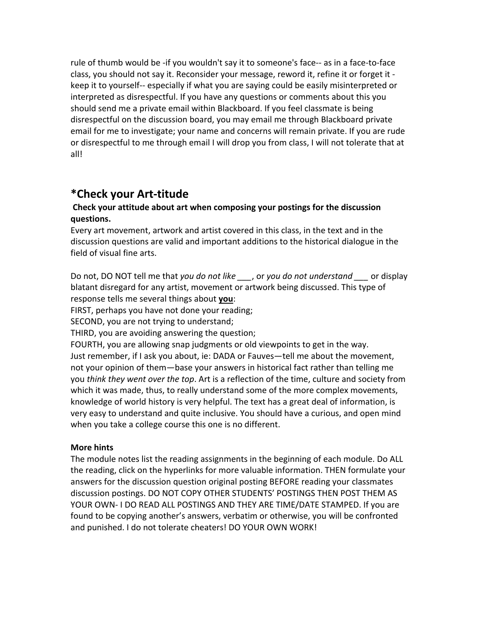rule of thumb would be -if you wouldn't say it to someone's face-- as in a face-to-face class, you should not say it. Reconsider your message, reword it, refine it or forget it keep it to yourself-- especially if what you are saying could be easily misinterpreted or interpreted as disrespectful. If you have any questions or comments about this you should send me a private email within Blackboard. If you feel classmate is being disrespectful on the discussion board, you may email me through Blackboard private email for me to investigate; your name and concerns will remain private. If you are rude or disrespectful to me through email I will drop you from class, I will not tolerate that at all!

## **\*Check your Art-titude**

#### **Check your attitude about art when composing your postings for the discussion questions.**

Every art movement, artwork and artist covered in this class, in the text and in the discussion questions are valid and important additions to the historical dialogue in the field of visual fine arts.

Do not, DO NOT tell me that *you do not like \_\_\_*, or *you do not understand \_\_\_* or display blatant disregard for any artist, movement or artwork being discussed. This type of response tells me several things about **you**:

FIRST, perhaps you have not done your reading;

SECOND, you are not trying to understand;

THIRD, you are avoiding answering the question;

FOURTH, you are allowing snap judgments or old viewpoints to get in the way. Just remember, if I ask you about, ie: DADA or Fauves—tell me about the movement, not your opinion of them—base your answers in historical fact rather than telling me you *think they went over the top*. Art is a reflection of the time, culture and society from which it was made, thus, to really understand some of the more complex movements, knowledge of world history is very helpful. The text has a great deal of information, is very easy to understand and quite inclusive. You should have a curious, and open mind when you take a college course this one is no different.

#### **More hints**

The module notes list the reading assignments in the beginning of each module. Do ALL the reading, click on the hyperlinks for more valuable information. THEN formulate your answers for the discussion question original posting BEFORE reading your classmates discussion postings. DO NOT COPY OTHER STUDENTS' POSTINGS THEN POST THEM AS YOUR OWN- I DO READ ALL POSTINGS AND THEY ARE TIME/DATE STAMPED. If you are found to be copying another's answers, verbatim or otherwise, you will be confronted and punished. I do not tolerate cheaters! DO YOUR OWN WORK!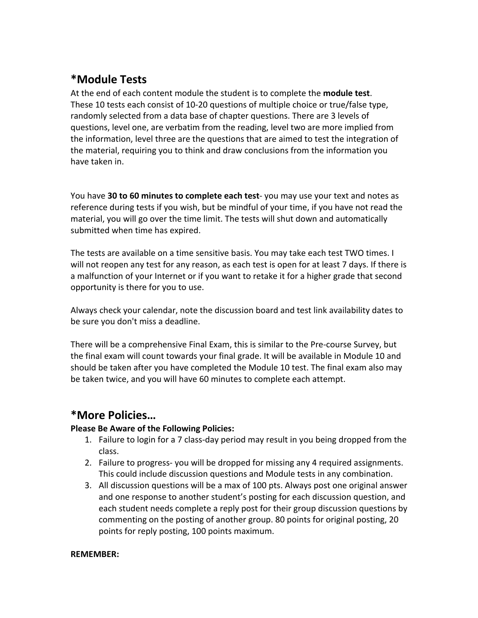# **\*Module Tests**

At the end of each content module the student is to complete the **module test**. These 10 tests each consist of 10-20 questions of multiple choice or true/false type, randomly selected from a data base of chapter questions. There are 3 levels of questions, level one, are verbatim from the reading, level two are more implied from the information, level three are the questions that are aimed to test the integration of the material, requiring you to think and draw conclusions from the information you have taken in.

You have **30 to 60 minutes to complete each test**- you may use your text and notes as reference during tests if you wish, but be mindful of your time, if you have not read the material, you will go over the time limit. The tests will shut down and automatically submitted when time has expired.

The tests are available on a time sensitive basis. You may take each test TWO times. I will not reopen any test for any reason, as each test is open for at least 7 days. If there is a malfunction of your Internet or if you want to retake it for a higher grade that second opportunity is there for you to use.

Always check your calendar, note the discussion board and test link availability dates to be sure you don't miss a deadline.

There will be a comprehensive Final Exam, this is similar to the Pre-course Survey, but the final exam will count towards your final grade. It will be available in Module 10 and should be taken after you have completed the Module 10 test. The final exam also may be taken twice, and you will have 60 minutes to complete each attempt.

## **\*More Policies…**

#### **Please Be Aware of the Following Policies:**

- 1. Failure to login for a 7 class-day period may result in you being dropped from the class.
- 2. Failure to progress- you will be dropped for missing any 4 required assignments. This could include discussion questions and Module tests in any combination.
- 3. All discussion questions will be a max of 100 pts. Always post one original answer and one response to another student's posting for each discussion question, and each student needs complete a reply post for their group discussion questions by commenting on the posting of another group. 80 points for original posting, 20 points for reply posting, 100 points maximum.

#### **REMEMBER:**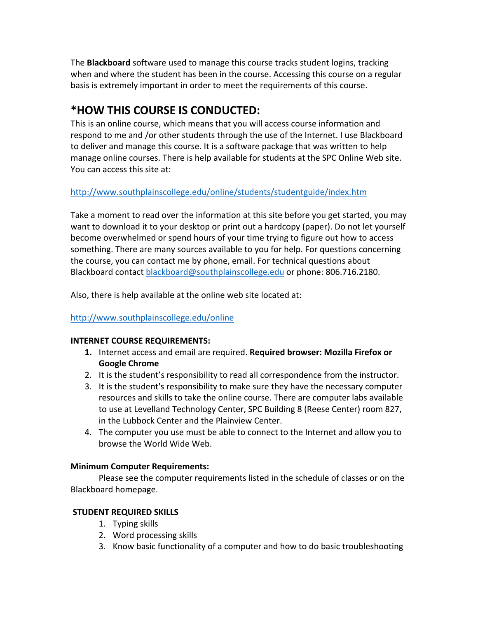The **Blackboard** software used to manage this course tracks student logins, tracking when and where the student has been in the course. Accessing this course on a regular basis is extremely important in order to meet the requirements of this course.

# **\*HOW THIS COURSE IS CONDUCTED:**

This is an online course, which means that you will access course information and respond to me and /or other students through the use of the Internet. I use Blackboard to deliver and manage this course. It is a software package that was written to help manage online courses. There is help available for students at the SPC Online Web site. You can access this site at:

### http://www.southplainscollege.edu/online/students/studentguide/index.htm

Take a moment to read over the information at this site before you get started, you may want to download it to your desktop or print out a hardcopy (paper). Do not let yourself become overwhelmed or spend hours of your time trying to figure out how to access something. There are many sources available to you for help. For questions concerning the course, you can contact me by phone, email. For technical questions about Blackboard contact blackboard@southplainscollege.edu or phone: 806.716.2180.

Also, there is help available at the online web site located at:

### http://www.southplainscollege.edu/online

### **INTERNET COURSE REQUIREMENTS:**

- **1.** Internet access and email are required. **Required browser: Mozilla Firefox or Google Chrome**
- 2. It is the student's responsibility to read all correspondence from the instructor.
- 3. It is the student's responsibility to make sure they have the necessary computer resources and skills to take the online course. There are computer labs available to use at Levelland Technology Center, SPC Building 8 (Reese Center) room 827, in the Lubbock Center and the Plainview Center.
- 4. The computer you use must be able to connect to the Internet and allow you to browse the World Wide Web.

### **Minimum Computer Requirements:**

Please see the computer requirements listed in the schedule of classes or on the Blackboard homepage.

### **STUDENT REQUIRED SKILLS**

- 1. Typing skills
- 2. Word processing skills
- 3. Know basic functionality of a computer and how to do basic troubleshooting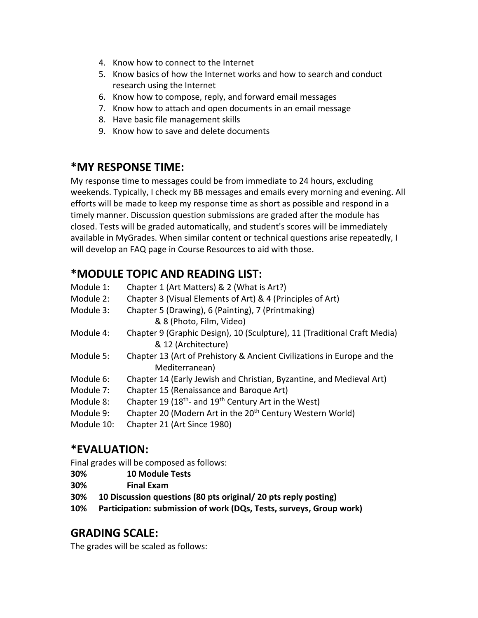- 4. Know how to connect to the Internet
- 5. Know basics of how the Internet works and how to search and conduct research using the Internet
- 6. Know how to compose, reply, and forward email messages
- 7. Know how to attach and open documents in an email message
- 8. Have basic file management skills
- 9. Know how to save and delete documents

## **\*MY RESPONSE TIME:**

My response time to messages could be from immediate to 24 hours, excluding weekends. Typically, I check my BB messages and emails every morning and evening. All efforts will be made to keep my response time as short as possible and respond in a timely manner. Discussion question submissions are graded after the module has closed. Tests will be graded automatically, and student's scores will be immediately available in MyGrades. When similar content or technical questions arise repeatedly, I will develop an FAQ page in Course Resources to aid with those.

# **\*MODULE TOPIC AND READING LIST:**

| Module 1:  | Chapter 1 (Art Matters) & 2 (What is Art?)                                   |
|------------|------------------------------------------------------------------------------|
| Module 2:  | Chapter 3 (Visual Elements of Art) & 4 (Principles of Art)                   |
| Module 3:  | Chapter 5 (Drawing), 6 (Painting), 7 (Printmaking)                           |
|            | & 8 (Photo, Film, Video)                                                     |
| Module 4:  | Chapter 9 (Graphic Design), 10 (Sculpture), 11 (Traditional Craft Media)     |
|            | & 12 (Architecture)                                                          |
| Module 5:  | Chapter 13 (Art of Prehistory & Ancient Civilizations in Europe and the      |
|            | Mediterranean)                                                               |
| Module 6:  | Chapter 14 (Early Jewish and Christian, Byzantine, and Medieval Art)         |
| Module 7:  | Chapter 15 (Renaissance and Baroque Art)                                     |
| Module 8:  | Chapter 19 (18 <sup>th</sup> - and 19 <sup>th</sup> Century Art in the West) |
| Module 9:  | Chapter 20 (Modern Art in the 20 <sup>th</sup> Century Western World)        |
| Module 10: | Chapter 21 (Art Since 1980)                                                  |
|            |                                                                              |

# **\*EVALUATION:**

Final grades will be composed as follows:

- **30% 10 Module Tests**
- **30% Final Exam**
- **30% 10 Discussion questions (80 pts original/ 20 pts reply posting)**
- **10% Participation: submission of work (DQs, Tests, surveys, Group work)**

## **GRADING SCALE:**

The grades will be scaled as follows: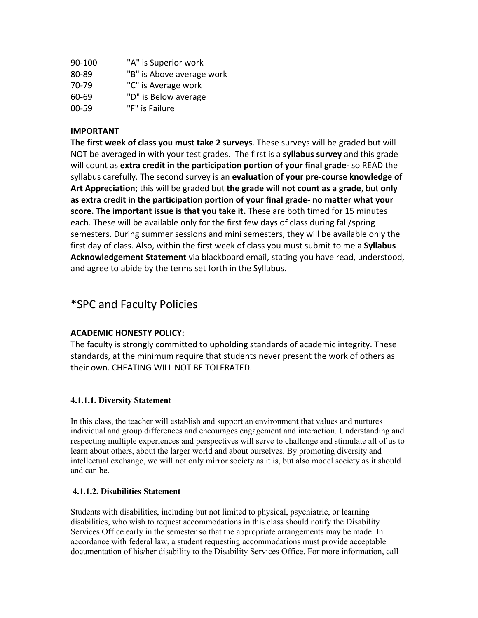| 90-100    | "A" is Superior work      |
|-----------|---------------------------|
| 80-89     | "B" is Above average work |
| 70-79     | "C" is Average work       |
| 60-69     | "D" is Below average      |
| $00 - 59$ | "F" is Failure            |

#### **IMPORTANT**

**The first week of class you must take 2 surveys**. These surveys will be graded but will NOT be averaged in with your test grades. The first is a **syllabus survey** and this grade will count as **extra credit in the participation portion of your final grade**- so READ the syllabus carefully. The second survey is an **evaluation of your pre-course knowledge of Art Appreciation**; this will be graded but **the grade will not count as a grade**, but **only as extra credit in the participation portion of your final grade- no matter what your score. The important issue is that you take it.** These are both timed for 15 minutes each. These will be available only for the first few days of class during fall/spring semesters. During summer sessions and mini semesters, they will be available only the first day of class. Also, within the first week of class you must submit to me a **Syllabus Acknowledgement Statement** via blackboard email, stating you have read, understood, and agree to abide by the terms set forth in the Syllabus.

## \*SPC and Faculty Policies

#### **ACADEMIC HONESTY POLICY:**

The faculty is strongly committed to upholding standards of academic integrity. These standards, at the minimum require that students never present the work of others as their own. CHEATING WILL NOT BE TOLERATED.

#### **4.1.1.1. Diversity Statement**

In this class, the teacher will establish and support an environment that values and nurtures individual and group differences and encourages engagement and interaction. Understanding and respecting multiple experiences and perspectives will serve to challenge and stimulate all of us to learn about others, about the larger world and about ourselves. By promoting diversity and intellectual exchange, we will not only mirror society as it is, but also model society as it should and can be.

#### **4.1.1.2. Disabilities Statement**

Students with disabilities, including but not limited to physical, psychiatric, or learning disabilities, who wish to request accommodations in this class should notify the Disability Services Office early in the semester so that the appropriate arrangements may be made. In accordance with federal law, a student requesting accommodations must provide acceptable documentation of his/her disability to the Disability Services Office. For more information, call